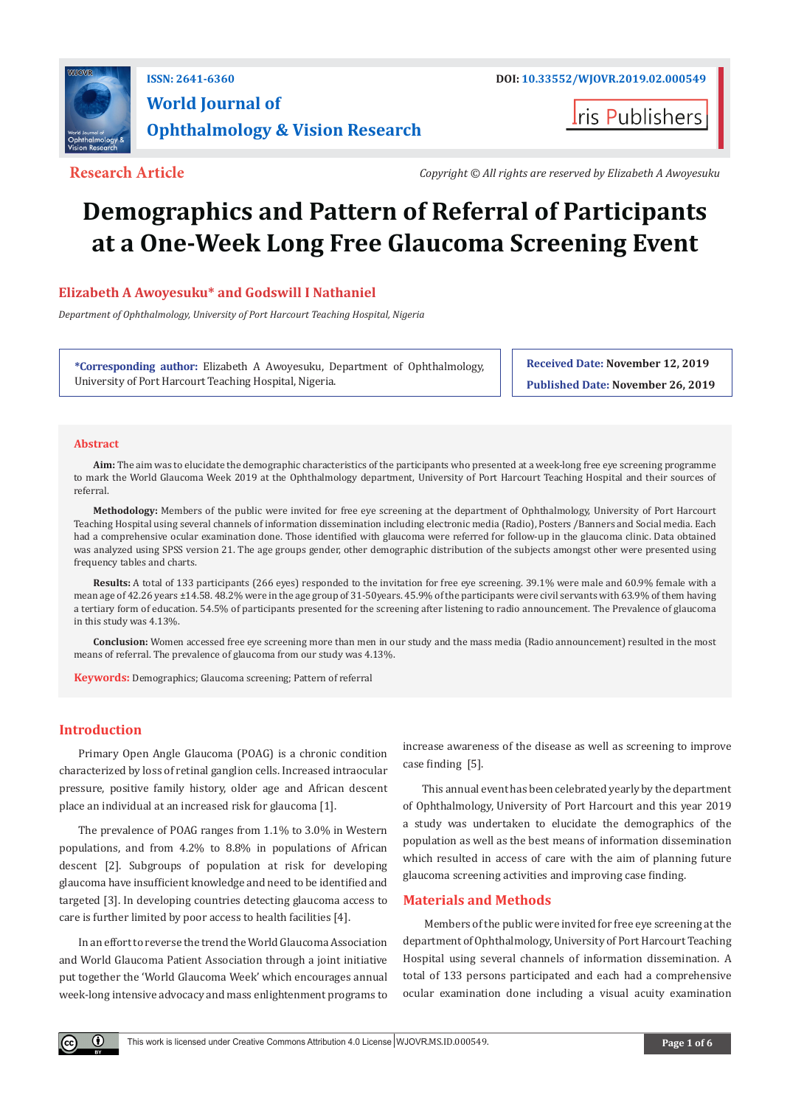

## **ISSN: 2641-6360 DOI: [10.33552/WJOVR.2019.02.000549](http://dx.doi.org/10.33552/WJOVR.2019.02.000549) World Journal of Ophthalmology & Vision Research**

**I**ris Publishers

**Research Article** *Copyright* **© All rights are reserved by Elizabeth A Awoyesuku** 

# **Demographics and Pattern of Referral of Participants at a One-Week Long Free Glaucoma Screening Event**

### **Elizabeth A Awoyesuku\* and Godswill I Nathaniel**

*Department of Ophthalmology, University of Port Harcourt Teaching Hospital, Nigeria*

**\*Corresponding author:** Elizabeth A Awoyesuku, Department of Ophthalmology, University of Port Harcourt Teaching Hospital, Nigeria.

**Received Date: November 12, 2019 Published Date: November 26, 2019**

#### **Abstract**

**Aim:** The aim was to elucidate the demographic characteristics of the participants who presented at a week-long free eye screening programme to mark the World Glaucoma Week 2019 at the Ophthalmology department, University of Port Harcourt Teaching Hospital and their sources of referral.

**Methodology:** Members of the public were invited for free eye screening at the department of Ophthalmology, University of Port Harcourt Teaching Hospital using several channels of information dissemination including electronic media (Radio), Posters /Banners and Social media. Each had a comprehensive ocular examination done. Those identified with glaucoma were referred for follow-up in the glaucoma clinic. Data obtained was analyzed using SPSS version 21. The age groups gender, other demographic distribution of the subjects amongst other were presented using frequency tables and charts.

**Results:** A total of 133 participants (266 eyes) responded to the invitation for free eye screening. 39.1% were male and 60.9% female with a mean age of 42.26 years ±14.58. 48.2% were in the age group of 31-50years. 45.9% of the participants were civil servants with 63.9% of them having a tertiary form of education. 54.5% of participants presented for the screening after listening to radio announcement. The Prevalence of glaucoma in this study was 4.13%.

**Conclusion:** Women accessed free eye screening more than men in our study and the mass media (Radio announcement) resulted in the most means of referral. The prevalence of glaucoma from our study was 4.13%.

**Keywords:** Demographics; Glaucoma screening; Pattern of referral

#### **Introduction**

 $\bf{0}$ 

Primary Open Angle Glaucoma (POAG) is a chronic condition characterized by loss of retinal ganglion cells. Increased intraocular pressure, positive family history, older age and African descent place an individual at an increased risk for glaucoma [1].

The prevalence of POAG ranges from 1.1% to 3.0% in Western populations, and from 4.2% to 8.8% in populations of African descent [2]. Subgroups of population at risk for developing glaucoma have insufficient knowledge and need to be identified and targeted [3]. In developing countries detecting glaucoma access to care is further limited by poor access to health facilities [4].

In an effort to reverse the trend the World Glaucoma Association and World Glaucoma Patient Association through a joint initiative put together the 'World Glaucoma Week' which encourages annual week-long intensive advocacy and mass enlightenment programs to increase awareness of the disease as well as screening to improve case finding [5].

This annual event has been celebrated yearly by the department of Ophthalmology, University of Port Harcourt and this year 2019 a study was undertaken to elucidate the demographics of the population as well as the best means of information dissemination which resulted in access of care with the aim of planning future glaucoma screening activities and improving case finding.

#### **Materials and Methods**

 Members of the public were invited for free eye screening at the department of Ophthalmology, University of Port Harcourt Teaching Hospital using several channels of information dissemination. A total of 133 persons participated and each had a comprehensive ocular examination done including a visual acuity examination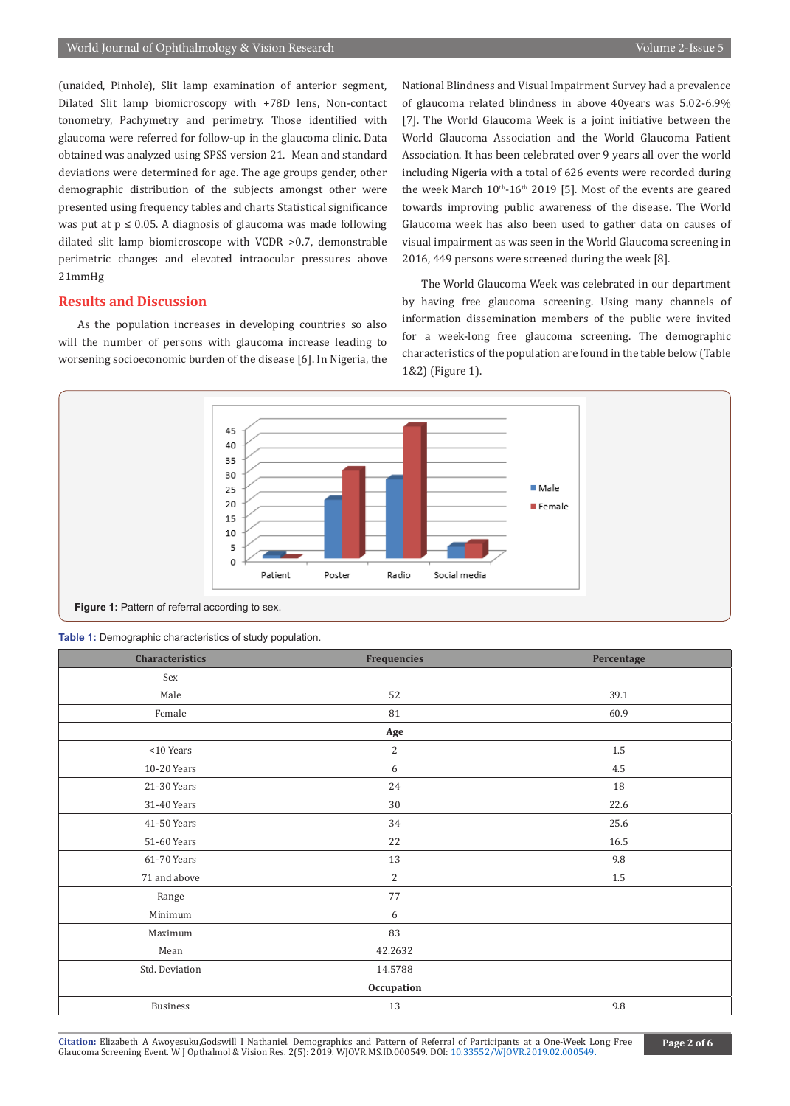(unaided, Pinhole), Slit lamp examination of anterior segment, Dilated Slit lamp biomicroscopy with +78D lens, Non-contact tonometry, Pachymetry and perimetry. Those identified with glaucoma were referred for follow-up in the glaucoma clinic. Data obtained was analyzed using SPSS version 21. Mean and standard deviations were determined for age. The age groups gender, other demographic distribution of the subjects amongst other were presented using frequency tables and charts Statistical significance was put at  $p \le 0.05$ . A diagnosis of glaucoma was made following dilated slit lamp biomicroscope with VCDR >0.7, demonstrable perimetric changes and elevated intraocular pressures above 21mmHg

#### **Results and Discussion**

As the population increases in developing countries so also will the number of persons with glaucoma increase leading to worsening socioeconomic burden of the disease [6]. In Nigeria, the

National Blindness and Visual Impairment Survey had a prevalence of glaucoma related blindness in above 40years was 5.02-6.9% [7]. The World Glaucoma Week is a joint initiative between the World Glaucoma Association and the World Glaucoma Patient Association. It has been celebrated over 9 years all over the world including Nigeria with a total of 626 events were recorded during the week March  $10<sup>th</sup>$ -16<sup>th</sup> 2019 [5]. Most of the events are geared towards improving public awareness of the disease. The World Glaucoma week has also been used to gather data on causes of visual impairment as was seen in the World Glaucoma screening in 2016, 449 persons were screened during the week [8].

The World Glaucoma Week was celebrated in our department by having free glaucoma screening. Using many channels of information dissemination members of the public were invited for a week-long free glaucoma screening. The demographic characteristics of the population are found in the table below (Table 1&2) (Figure 1).



Figure 1: Pattern of referral according to sex.

**Table 1:** Demographic characteristics of study population.

| <b>Characteristics</b> | <b>Frequencies</b> | Percentage |  |  |  |  |  |  |  |
|------------------------|--------------------|------------|--|--|--|--|--|--|--|
| Sex                    |                    |            |  |  |  |  |  |  |  |
| Male                   | 52                 | 39.1       |  |  |  |  |  |  |  |
| Female                 | 81                 | 60.9       |  |  |  |  |  |  |  |
| Age                    |                    |            |  |  |  |  |  |  |  |
| $<$ 10 Years           | $\overline{2}$     | $1.5\,$    |  |  |  |  |  |  |  |
| 10-20 Years            | 6                  | 4.5        |  |  |  |  |  |  |  |
| 21-30 Years            | 24                 | 18         |  |  |  |  |  |  |  |
| 31-40 Years            | 30                 | 22.6       |  |  |  |  |  |  |  |
| 41-50 Years            | 34                 | 25.6       |  |  |  |  |  |  |  |
| 51-60 Years            | 22                 | 16.5       |  |  |  |  |  |  |  |
| 61-70 Years            | 13                 | 9.8        |  |  |  |  |  |  |  |
| 71 and above           | $\overline{2}$     | $1.5\,$    |  |  |  |  |  |  |  |
| Range                  | 77                 |            |  |  |  |  |  |  |  |
| Minimum                | 6                  |            |  |  |  |  |  |  |  |
| Maximum                | 83                 |            |  |  |  |  |  |  |  |
| Mean                   | 42.2632            |            |  |  |  |  |  |  |  |
| Std. Deviation         | 14.5788            |            |  |  |  |  |  |  |  |
| Occupation             |                    |            |  |  |  |  |  |  |  |
| <b>Business</b>        | 13                 | 9.8        |  |  |  |  |  |  |  |

**Citation:** Elizabeth A Awoyesuku,Godswill I Nathaniel. Demographics and Pattern of Referr[al of Participants at a One-Week L](http://dx.doi.org/10.33552/WJOVR.2019.02.000549)ong Free Gitation: Elizabeth A Awoyesuku, Godswill I Nathaniel. Demographics and Pattern of Referral of Participants at a One-Week Long Free<br>Glaucoma Screening Event. W J Opthalmol & Vision Res. 2(5): 2019. WJOVR.MS.ID.000549. DOI: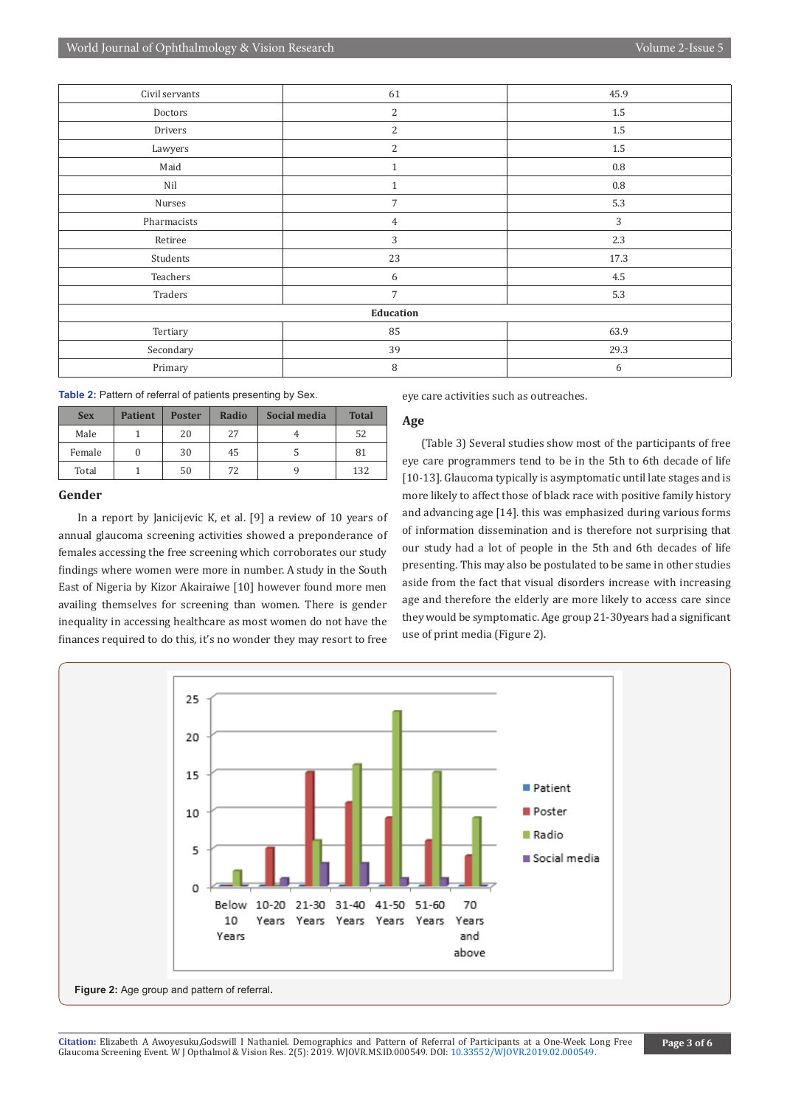| Civil servants | 61             | 45.9      |  |  |  |  |  |
|----------------|----------------|-----------|--|--|--|--|--|
| Doctors        | $\overline{c}$ | 1.5       |  |  |  |  |  |
| Drivers        | $\overline{2}$ | 1.5       |  |  |  |  |  |
| Lawyers        | 2              | 1.5       |  |  |  |  |  |
| Maid           | $\mathbf{1}$   | $\rm 0.8$ |  |  |  |  |  |
| Nil            | $\mathbf{1}$   | $0.8\,$   |  |  |  |  |  |
| Nurses         | $\overline{7}$ | 5.3       |  |  |  |  |  |
| Pharmacists    | $\overline{4}$ | 3         |  |  |  |  |  |
| Retiree        | 3              | 2.3       |  |  |  |  |  |
| Students       | 23             | 17.3      |  |  |  |  |  |
| Teachers       | 6              | 4.5       |  |  |  |  |  |
| Traders        | $\overline{7}$ | 5.3       |  |  |  |  |  |
| Education      |                |           |  |  |  |  |  |
| Tertiary       | 85             | 63.9      |  |  |  |  |  |
| Secondary      | 39             | 29.3      |  |  |  |  |  |
| Primary        | 8              | 6         |  |  |  |  |  |

**Table 2:** Pattern of referral of patients presenting by Sex.

| <b>Sex</b> | <b>Patient</b> | <b>Poster</b> | Radio | Social media | <b>Total</b> |
|------------|----------------|---------------|-------|--------------|--------------|
| Male       |                | 20            | 27    |              | 52           |
| Female     |                | 30            | 45    |              | 81           |
| Total      |                | 50            | 72    |              | 132          |

#### **Gender**

In a report by Janicijevic K, et al. [9] a review of 10 years of annual glaucoma screening activities showed a preponderance of females accessing the free screening which corroborates our study findings where women were more in number. A study in the South East of Nigeria by Kizor Akairaiwe [10] however found more men availing themselves for screening than women. There is gender inequality in accessing healthcare as most women do not have the finances required to do this, it's no wonder they may resort to free

eye care activities such as outreaches.

#### **Age**

(Table 3) Several studies show most of the participants of free eye care programmers tend to be in the 5th to 6th decade of life [10-13]. Glaucoma typically is asymptomatic until late stages and is more likely to affect those of black race with positive family history and advancing age [14]. this was emphasized during various forms of information dissemination and is therefore not surprising that our study had a lot of people in the 5th and 6th decades of life presenting. This may also be postulated to be same in other studies aside from the fact that visual disorders increase with increasing age and therefore the elderly are more likely to access care since they would be symptomatic. Age group 21-30years had a significant use of print media (Figure 2).

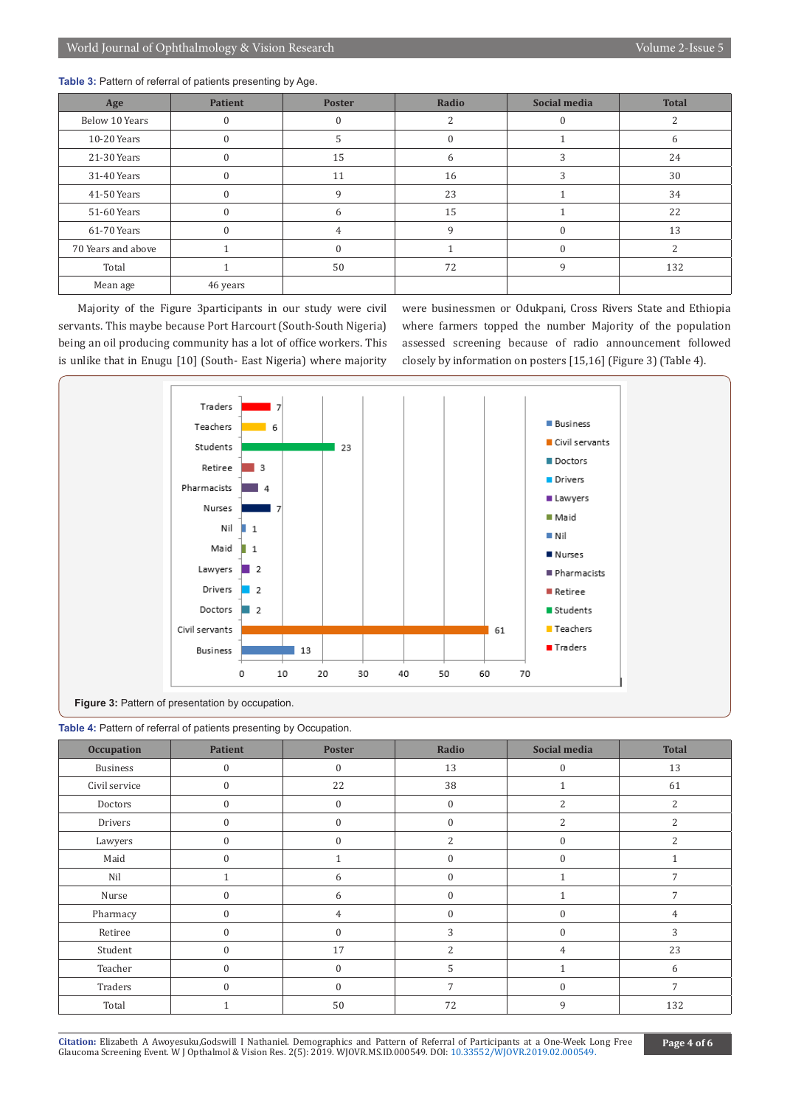**Table 3:** Pattern of referral of patients presenting by Age.

| Age                | <b>Patient</b> | <b>Poster</b> | Radio        | <b>Social media</b> | <b>Total</b> |
|--------------------|----------------|---------------|--------------|---------------------|--------------|
| Below 10 Years     | $\Omega$       | $\Omega$      |              |                     | 2            |
| 10-20 Years        |                |               |              |                     | b            |
| 21-30 Years        | $\Omega$       | 15            | 6            | 3                   | 24           |
| 31-40 Years        | $\Omega$       | 11            | 16           | 3                   | 30           |
| 41-50 Years        | $\Omega$       | 9             | 23           |                     | 34           |
| 51-60 Years        | $\Omega$       | 6             | 15           |                     | 22           |
| 61-70 Years        | $\Omega$       | 4             | $\mathbf{Q}$ | 0                   | 13           |
| 70 Years and above |                | $\Omega$      |              | $\theta$            | 2            |
| Total              |                | 50            | 72           | 9                   | 132          |
| Mean age           | 46 years       |               |              |                     |              |

Majority of the Figure 3participants in our study were civil servants. This maybe because Port Harcourt (South-South Nigeria) being an oil producing community has a lot of office workers. This is unlike that in Enugu [10] (South- East Nigeria) where majority were businessmen or Odukpani, Cross Rivers State and Ethiopia where farmers topped the number Majority of the population assessed screening because of radio announcement followed closely by information on posters [15,16] (Figure 3) (Table 4).



|  |  |  |  |  |  |  |  |  |  |  |  |  | <b>Table 4:</b> Pattern of referral of patients presenting by Occupation. |  |
|--|--|--|--|--|--|--|--|--|--|--|--|--|---------------------------------------------------------------------------|--|
|--|--|--|--|--|--|--|--|--|--|--|--|--|---------------------------------------------------------------------------|--|

| <b>Occupation</b> | <b>Patient</b>   | <b>Poster</b>    | Radio            | Social media     | <b>Total</b>             |
|-------------------|------------------|------------------|------------------|------------------|--------------------------|
| <b>Business</b>   | $\mathbf{0}$     | $\mathbf{0}$     | 13               | $\boldsymbol{0}$ | 13                       |
| Civil service     | $\mathbf{0}$     | 22               | 38               | $\mathbf{1}$     | 61                       |
| Doctors           | $\boldsymbol{0}$ | $\boldsymbol{0}$ | $\boldsymbol{0}$ | $\overline{2}$   | $\overline{2}$           |
| Drivers           | $\mathbf{0}$     | $\mathbf{0}$     | $\boldsymbol{0}$ | $\overline{c}$   | $\overline{\mathcal{L}}$ |
| Lawyers           | $\mathbf{0}$     | $\mathbf{0}$     | $\overline{2}$   | $\boldsymbol{0}$ | $\overline{2}$           |
| Maid              | $\mathbf{0}$     |                  | $\boldsymbol{0}$ | $\boldsymbol{0}$ |                          |
| Nil               | $\mathbf{1}$     | 6                | $\mathbf{0}$     | $\mathbf{1}$     | 7                        |
| Nurse             | $\mathbf{0}$     | 6                | $\mathbf{0}$     |                  | 7                        |
| Pharmacy          | $\mathbf{0}$     | 4                | $\Omega$         | $\mathbf{0}$     | 4                        |
| Retiree           | $\mathbf{0}$     | $\mathbf{0}$     | 3                | $\boldsymbol{0}$ | 3                        |
| Student           | $\mathbf{0}$     | 17               | $\overline{2}$   | 4                | 23                       |
| Teacher           | $\mathbf{0}$     | $\mathbf{0}$     | 5                |                  | 6                        |
| Traders           | $\mathbf{0}$     | $\mathbf{0}$     | 7                | $\boldsymbol{0}$ | 7                        |
| Total             |                  | 50               | 72               | 9                | 132                      |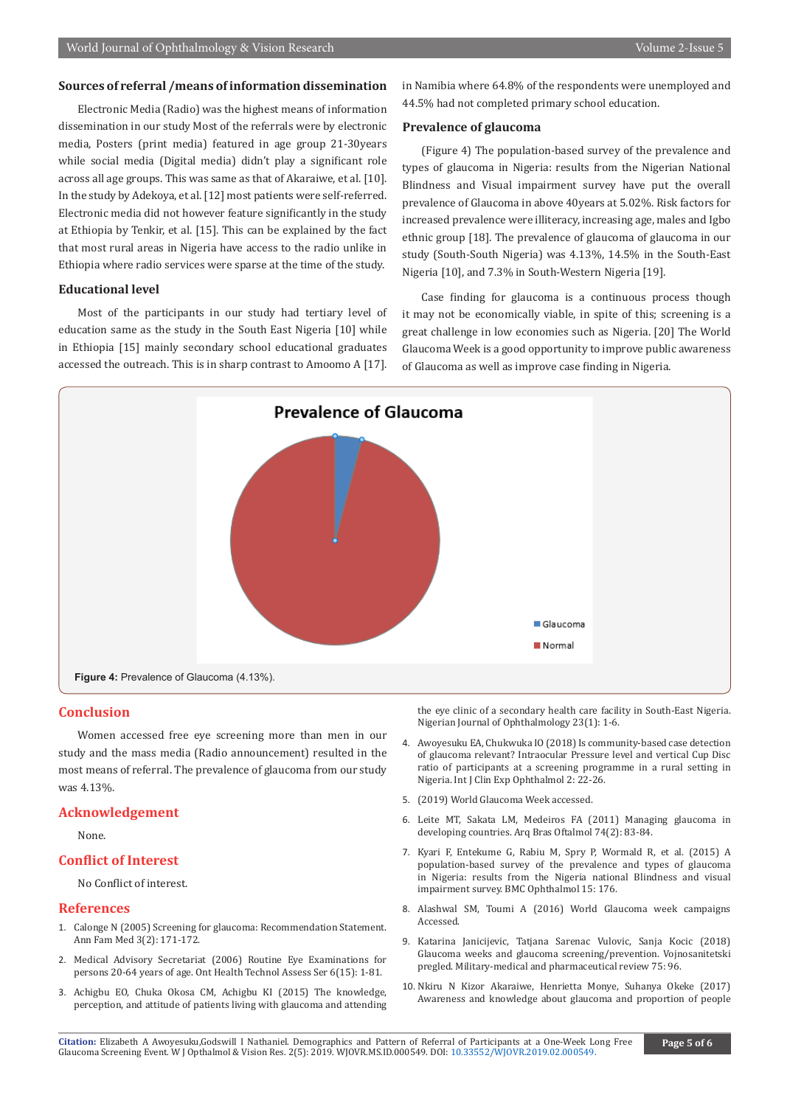#### **Sources of referral /means of information dissemination**

Electronic Media (Radio) was the highest means of information dissemination in our study Most of the referrals were by electronic media, Posters (print media) featured in age group 21-30years while social media (Digital media) didn't play a significant role across all age groups. This was same as that of Akaraiwe, et al. [10]. In the study by Adekoya, et al. [12] most patients were self-referred. Electronic media did not however feature significantly in the study at Ethiopia by Tenkir, et al. [15]. This can be explained by the fact that most rural areas in Nigeria have access to the radio unlike in Ethiopia where radio services were sparse at the time of the study.

#### **Educational level**

Most of the participants in our study had tertiary level of education same as the study in the South East Nigeria [10] while in Ethiopia [15] mainly secondary school educational graduates accessed the outreach. This is in sharp contrast to Amoomo A [17].

in Namibia where 64.8% of the respondents were unemployed and 44.5% had not completed primary school education.

#### **Prevalence of glaucoma**

(Figure 4) The population-based survey of the prevalence and types of glaucoma in Nigeria: results from the Nigerian National Blindness and Visual impairment survey have put the overall prevalence of Glaucoma in above 40years at 5.02%. Risk factors for increased prevalence were illiteracy, increasing age, males and Igbo ethnic group [18]. The prevalence of glaucoma of glaucoma in our study (South-South Nigeria) was 4.13%, 14.5% in the South-East Nigeria [10], and 7.3% in South-Western Nigeria [19].

Case finding for glaucoma is a continuous process though it may not be economically viable, in spite of this; screening is a great challenge in low economies such as Nigeria. [20] The World Glaucoma Week is a good opportunity to improve public awareness of Glaucoma as well as improve case finding in Nigeria.



#### **Conclusion**

Women accessed free eye screening more than men in our study and the mass media (Radio announcement) resulted in the most means of referral. The prevalence of glaucoma from our study was 4.13%.

#### **Acknowledgement**

None.

#### **Conflict of Interest**

No Conflict of interest.

#### **References**

- 1. [Calonge N \(2005\) Screening for glaucoma: Recommendation Statement.](https://www.ncbi.nlm.nih.gov/pubmed/15798045) [Ann Fam Med 3\(2\): 171-172.](https://www.ncbi.nlm.nih.gov/pubmed/15798045)
- 2. [Medical Advisory Secretariat \(2006\) Routine Eye Examinations for](https://www.ncbi.nlm.nih.gov/pubmed/23074485) [persons 20-64 years of age. Ont Health Technol Assess Ser 6\(15\): 1-81.](https://www.ncbi.nlm.nih.gov/pubmed/23074485)
- 3. Achigbu EO, Chuka Okosa CM, Achigbu KI (2015) The knowledge, perception, and attitude of patients living with glaucoma and attending

the eye clinic of a secondary health care facility in South-East Nigeria. Nigerian Journal of Ophthalmology 23(1): 1-6.

- 4. [Awoyesuku EA, Chukwuka IO \(2018\) Is community-based case detection](https://doi.org/10.29328/journal.ijceo.1001017)  [of glaucoma relevant? Intraocular Pressure level and vertical Cup Disc](https://doi.org/10.29328/journal.ijceo.1001017)  [ratio of participants at a screening programme in a rural setting in](https://doi.org/10.29328/journal.ijceo.1001017)  [Nigeria. Int J Clin Exp Ophthalmol 2: 22-26.](https://doi.org/10.29328/journal.ijceo.1001017)
- 5. (2019) World Glaucoma Week accessed.
- 6. [Leite MT, Sakata LM, Medeiros FA \(2011\) Managing glaucoma in](https://www.ncbi.nlm.nih.gov/pubmed/21779659)  [developing countries. Arq Bras Oftalmol 74\(2\): 83-84.](https://www.ncbi.nlm.nih.gov/pubmed/21779659)
- 7. [Kyari F, Entekume G, Rabiu M, Spry P, Wormald R, et al. \(2015\) A](https://www.ncbi.nlm.nih.gov/pubmed/26653326)  [population-based survey of the prevalence and types of glaucoma](https://www.ncbi.nlm.nih.gov/pubmed/26653326)  [in Nigeria: results from the Nigeria national Blindness and visual](https://www.ncbi.nlm.nih.gov/pubmed/26653326)  [impairment survey. BMC Ophthalmol 15: 176.](https://www.ncbi.nlm.nih.gov/pubmed/26653326)
- 8. Alashwal SM, Toumi A (2016) World Glaucoma week campaigns Accessed.
- 9. Katarina Janicijevic, Tatjana Sarenac Vulovic, Sanja Kocic (2018) Glaucoma weeks and glaucoma screening/prevention. Vojnosanitetski pregled. Military-medical and pharmaceutical review 75: 96.
- 10. [Nkiru N Kizor Akaraiwe, Henrietta Monye, Suhanya Okeke \(2017\)](https://www.ncbi.nlm.nih.gov/pubmed/29354697)  [Awareness and knowledge about glaucoma and proportion of people](https://www.ncbi.nlm.nih.gov/pubmed/29354697)